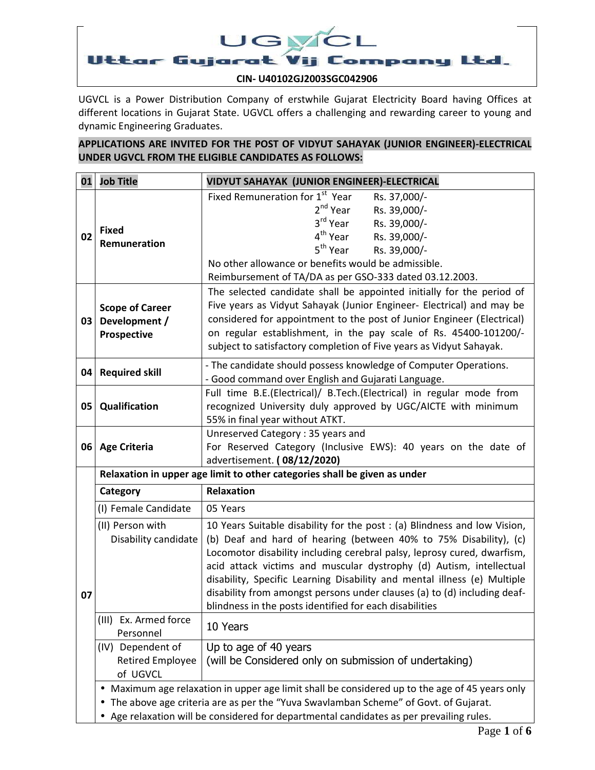

UGVCL is a Power Distribution Company of erstwhile Gujarat Electricity Board having Offices at different locations in Gujarat State. UGVCL offers a challenging and rewarding career to young and dynamic Engineering Graduates.

## **APPLICATIONS ARE INVITED FOR THE POST OF VIDYUT SAHAYAK (JUNIOR ENGINEER)-ELECTRICAL UNDER UGVCL FROM THE ELIGIBLE CANDIDATES AS FOLLOWS:**

| 01 | <b>Job Title</b>                                                                                                                                                                                                                                                              | VIDYUT SAHAYAK (JUNIOR ENGINEER)-ELECTRICAL                                                                                                                                                                                                                                                                                                                                                                                                                                                                         |  |  |  |  |  |  |
|----|-------------------------------------------------------------------------------------------------------------------------------------------------------------------------------------------------------------------------------------------------------------------------------|---------------------------------------------------------------------------------------------------------------------------------------------------------------------------------------------------------------------------------------------------------------------------------------------------------------------------------------------------------------------------------------------------------------------------------------------------------------------------------------------------------------------|--|--|--|--|--|--|
| 02 | <b>Fixed</b><br>Remuneration                                                                                                                                                                                                                                                  | Fixed Remuneration for 1st Year<br>Rs. 37,000/-<br>2 <sup>nd</sup> Year<br>Rs. 39,000/-<br>3 <sup>rd</sup> Year<br>Rs. 39,000/-<br>4 <sup>th</sup> Year<br>Rs. 39,000/-<br>5 <sup>th</sup> Year<br>Rs. 39,000/-<br>No other allowance or benefits would be admissible.<br>Reimbursement of TA/DA as per GSO-333 dated 03.12.2003.                                                                                                                                                                                   |  |  |  |  |  |  |
| 03 | <b>Scope of Career</b><br>Development /<br>Prospective                                                                                                                                                                                                                        | The selected candidate shall be appointed initially for the period of<br>Five years as Vidyut Sahayak (Junior Engineer- Electrical) and may be<br>considered for appointment to the post of Junior Engineer (Electrical)<br>on regular establishment, in the pay scale of Rs. 45400-101200/-<br>subject to satisfactory completion of Five years as Vidyut Sahayak.                                                                                                                                                 |  |  |  |  |  |  |
| 04 | <b>Required skill</b>                                                                                                                                                                                                                                                         | - The candidate should possess knowledge of Computer Operations.<br>- Good command over English and Gujarati Language.                                                                                                                                                                                                                                                                                                                                                                                              |  |  |  |  |  |  |
| 05 | Qualification                                                                                                                                                                                                                                                                 | Full time B.E.(Electrical)/ B.Tech.(Electrical) in regular mode from<br>recognized University duly approved by UGC/AICTE with minimum<br>55% in final year without ATKT.                                                                                                                                                                                                                                                                                                                                            |  |  |  |  |  |  |
|    | 06 Age Criteria                                                                                                                                                                                                                                                               | Unreserved Category: 35 years and<br>For Reserved Category (Inclusive EWS): 40 years on the date of<br>advertisement. (08/12/2020)                                                                                                                                                                                                                                                                                                                                                                                  |  |  |  |  |  |  |
|    | Relaxation in upper age limit to other categories shall be given as under                                                                                                                                                                                                     |                                                                                                                                                                                                                                                                                                                                                                                                                                                                                                                     |  |  |  |  |  |  |
|    | Category                                                                                                                                                                                                                                                                      | Relaxation                                                                                                                                                                                                                                                                                                                                                                                                                                                                                                          |  |  |  |  |  |  |
|    | (I) Female Candidate                                                                                                                                                                                                                                                          | 05 Years                                                                                                                                                                                                                                                                                                                                                                                                                                                                                                            |  |  |  |  |  |  |
| 07 | (II) Person with<br>Disability candidate                                                                                                                                                                                                                                      | 10 Years Suitable disability for the post : (a) Blindness and low Vision,<br>(b) Deaf and hard of hearing (between 40% to 75% Disability), (c)<br>Locomotor disability including cerebral palsy, leprosy cured, dwarfism,<br>acid attack victims and muscular dystrophy (d) Autism, intellectual<br>disability, Specific Learning Disability and mental illness (e) Multiple<br>disability from amongst persons under clauses (a) to (d) including deaf-<br>blindness in the posts identified for each disabilities |  |  |  |  |  |  |
|    | (III) Ex. Armed force<br>Personnel                                                                                                                                                                                                                                            | 10 Years                                                                                                                                                                                                                                                                                                                                                                                                                                                                                                            |  |  |  |  |  |  |
|    | (IV) Dependent of<br><b>Retired Employee</b><br>of UGVCL                                                                                                                                                                                                                      | Up to age of 40 years<br>(will be Considered only on submission of undertaking)                                                                                                                                                                                                                                                                                                                                                                                                                                     |  |  |  |  |  |  |
|    | Maximum age relaxation in upper age limit shall be considered up to the age of 45 years only<br>The above age criteria are as per the "Yuva Swavlamban Scheme" of Govt. of Gujarat.<br>Age relaxation will be considered for departmental candidates as per prevailing rules. |                                                                                                                                                                                                                                                                                                                                                                                                                                                                                                                     |  |  |  |  |  |  |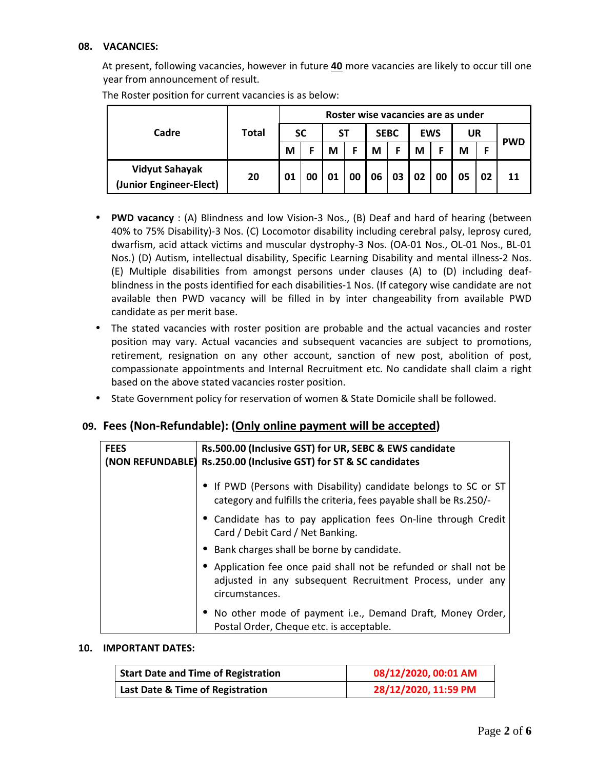### **08. VACANCIES:**

At present, following vacancies, however in future **40** more vacancies are likely to occur till one year from announcement of result.

|                                                  | Total | Roster wise vacancies are as under |    |    |    |             |    |            |    |           |    |            |
|--------------------------------------------------|-------|------------------------------------|----|----|----|-------------|----|------------|----|-----------|----|------------|
| Cadre                                            |       | <b>SC</b>                          |    | SТ |    | <b>SEBC</b> |    | <b>EWS</b> |    | <b>UR</b> |    |            |
|                                                  |       | М                                  |    | М  |    | M           |    | М          |    | M         |    | <b>PWD</b> |
| <b>Vidyut Sahayak</b><br>(Junior Engineer-Elect) | 20    | 01                                 | 00 | 01 | 00 | 06          | 03 | 02         | 00 | 05        | 02 | 11         |

The Roster position for current vacancies is as below:

- **PWD vacancy** : (A) Blindness and low Vision-3 Nos., (B) Deaf and hard of hearing (between 40% to 75% Disability)-3 Nos. (C) Locomotor disability including cerebral palsy, leprosy cured, dwarfism, acid attack victims and muscular dystrophy-3 Nos. (OA-01 Nos., OL-01 Nos., BL-01 Nos.) (D) Autism, intellectual disability, Specific Learning Disability and mental illness-2 Nos. (E) Multiple disabilities from amongst persons under clauses (A) to (D) including deafblindness in the posts identified for each disabilities-1 Nos. (If category wise candidate are not available then PWD vacancy will be filled in by inter changeability from available PWD candidate as per merit base.
- The stated vacancies with roster position are probable and the actual vacancies and roster position may vary. Actual vacancies and subsequent vacancies are subject to promotions, retirement, resignation on any other account, sanction of new post, abolition of post, compassionate appointments and Internal Recruitment etc. No candidate shall claim a right based on the above stated vacancies roster position.
- State Government policy for reservation of women & State Domicile shall be followed.

## **09. Fees (Non-Refundable): (Only online payment will be accepted)**

| <b>FEES</b> | Rs.500.00 (Inclusive GST) for UR, SEBC & EWS candidate<br>(NON REFUNDABLE) Rs.250.00 (Inclusive GST) for ST & SC candidates                      |  |  |  |  |  |
|-------------|--------------------------------------------------------------------------------------------------------------------------------------------------|--|--|--|--|--|
|             | • If PWD (Persons with Disability) candidate belongs to SC or ST<br>category and fulfills the criteria, fees payable shall be Rs.250/-           |  |  |  |  |  |
|             | • Candidate has to pay application fees On-line through Credit<br>Card / Debit Card / Net Banking.                                               |  |  |  |  |  |
|             | • Bank charges shall be borne by candidate.                                                                                                      |  |  |  |  |  |
|             | • Application fee once paid shall not be refunded or shall not be<br>adjusted in any subsequent Recruitment Process, under any<br>circumstances. |  |  |  |  |  |
|             | • No other mode of payment i.e., Demand Draft, Money Order,<br>Postal Order, Cheque etc. is acceptable.                                          |  |  |  |  |  |

#### **10. IMPORTANT DATES:**

| <b>Start Date and Time of Registration</b> | 08/12/2020, 00:01 AM |
|--------------------------------------------|----------------------|
| Last Date & Time of Registration           | 28/12/2020, 11:59 PM |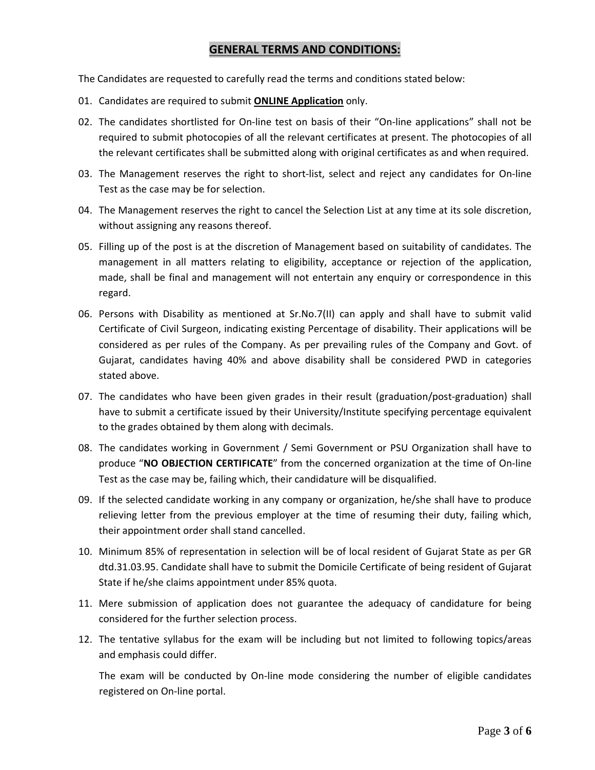## **GENERAL TERMS AND CONDITIONS:**

The Candidates are requested to carefully read the terms and conditions stated below:

- 01. Candidates are required to submit **ONLINE Application** only.
- 02. The candidates shortlisted for On-line test on basis of their "On-line applications" shall not be required to submit photocopies of all the relevant certificates at present. The photocopies of all the relevant certificates shall be submitted along with original certificates as and when required.
- 03. The Management reserves the right to short-list, select and reject any candidates for On-line Test as the case may be for selection.
- 04. The Management reserves the right to cancel the Selection List at any time at its sole discretion, without assigning any reasons thereof.
- 05. Filling up of the post is at the discretion of Management based on suitability of candidates. The management in all matters relating to eligibility, acceptance or rejection of the application, made, shall be final and management will not entertain any enquiry or correspondence in this regard.
- 06. Persons with Disability as mentioned at Sr.No.7(II) can apply and shall have to submit valid Certificate of Civil Surgeon, indicating existing Percentage of disability. Their applications will be considered as per rules of the Company. As per prevailing rules of the Company and Govt. of Gujarat, candidates having 40% and above disability shall be considered PWD in categories stated above.
- 07. The candidates who have been given grades in their result (graduation/post-graduation) shall have to submit a certificate issued by their University/Institute specifying percentage equivalent to the grades obtained by them along with decimals.
- 08. The candidates working in Government / Semi Government or PSU Organization shall have to produce "**NO OBJECTION CERTIFICATE**" from the concerned organization at the time of On-line Test as the case may be, failing which, their candidature will be disqualified.
- 09. If the selected candidate working in any company or organization, he/she shall have to produce relieving letter from the previous employer at the time of resuming their duty, failing which, their appointment order shall stand cancelled.
- 10. Minimum 85% of representation in selection will be of local resident of Gujarat State as per GR dtd.31.03.95. Candidate shall have to submit the Domicile Certificate of being resident of Gujarat State if he/she claims appointment under 85% quota.
- 11. Mere submission of application does not guarantee the adequacy of candidature for being considered for the further selection process.
- 12. The tentative syllabus for the exam will be including but not limited to following topics/areas and emphasis could differ.

The exam will be conducted by On-line mode considering the number of eligible candidates registered on On-line portal.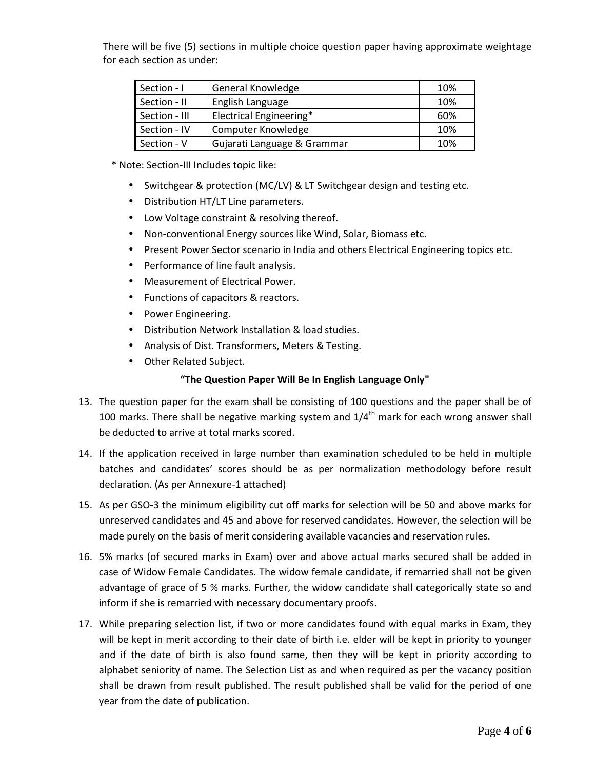There will be five (5) sections in multiple choice question paper having approximate weightage for each section as under:

| Section - I   | General Knowledge           | 10% |
|---------------|-----------------------------|-----|
| Section - II  | English Language            | 10% |
| Section - III | Electrical Engineering*     | 60% |
| Section - IV  | <b>Computer Knowledge</b>   | 10% |
| Section - V   | Gujarati Language & Grammar | 10% |

- \* Note: Section-III Includes topic like:
	- Switchgear & protection (MC/LV) & LT Switchgear design and testing etc.
	- Distribution HT/LT Line parameters.
	- Low Voltage constraint & resolving thereof.
	- Non-conventional Energy sources like Wind, Solar, Biomass etc.
	- Present Power Sector scenario in India and others Electrical Engineering topics etc.
	- Performance of line fault analysis.
	- Measurement of Electrical Power.
	- Functions of capacitors & reactors.
	- Power Engineering.
	- Distribution Network Installation & load studies.
	- Analysis of Dist. Transformers, Meters & Testing.
	- Other Related Subject.

#### **"The Question Paper Will Be In English Language Only"**

- 13. The question paper for the exam shall be consisting of 100 questions and the paper shall be of 100 marks. There shall be negative marking system and  $1/4<sup>th</sup>$  mark for each wrong answer shall be deducted to arrive at total marks scored.
- 14. If the application received in large number than examination scheduled to be held in multiple batches and candidates' scores should be as per normalization methodology before result declaration. (As per Annexure-1 attached)
- 15. As per GSO-3 the minimum eligibility cut off marks for selection will be 50 and above marks for unreserved candidates and 45 and above for reserved candidates. However, the selection will be made purely on the basis of merit considering available vacancies and reservation rules.
- 16. 5% marks (of secured marks in Exam) over and above actual marks secured shall be added in case of Widow Female Candidates. The widow female candidate, if remarried shall not be given advantage of grace of 5 % marks. Further, the widow candidate shall categorically state so and inform if she is remarried with necessary documentary proofs.
- 17. While preparing selection list, if two or more candidates found with equal marks in Exam, they will be kept in merit according to their date of birth i.e. elder will be kept in priority to younger and if the date of birth is also found same, then they will be kept in priority according to alphabet seniority of name. The Selection List as and when required as per the vacancy position shall be drawn from result published. The result published shall be valid for the period of one year from the date of publication.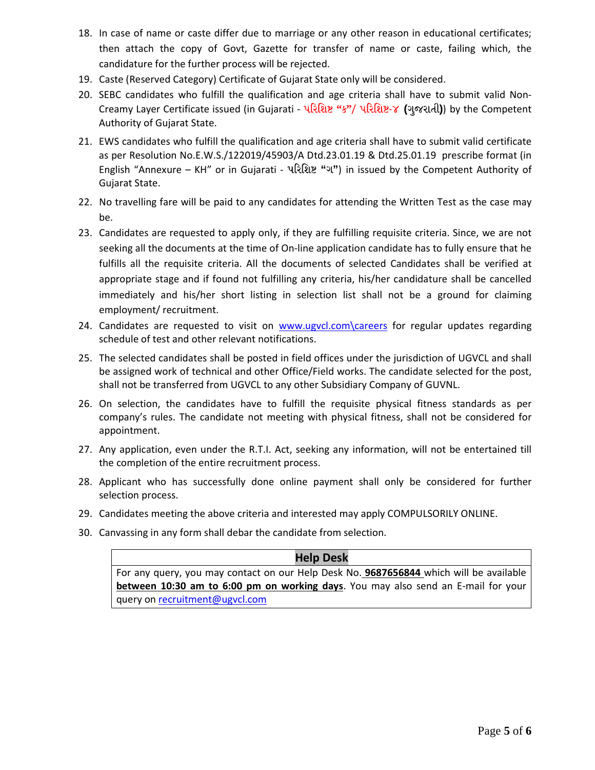- 18. In case of name or caste differ due to marriage or any other reason in educational certificates; then attach the copy of Govt, Gazette for transfer of name or caste, failing which, the candidature for the further process will be rejected.
- 19. Caste (Reserved Category) Certificate of Gujarat State only will be considered.
- 20. SEBC candidates who fulfill the qualification and age criteria shall have to submit valid Non-Creamy Layer Certificate issued (in Gujarati - પἵરિશὼ **"**ક**"**/ પἵરિશὼ-૪ **(**ગજુ રાતી**)**) by the Competent Authority of Gujarat State.
- 21. EWS candidates who fulfill the qualification and age criteria shall have to submit valid certificate as per Resolution No.E.W.S./122019/45903/A Dtd.23.01.19 & Dtd.25.01.19 prescribe format (in English "Annexure – KH" or in Gujarati - **પરિશિષ્ટ "ગ"**) in issued by the Competent Authority of Gujarat State.
- 22. No travelling fare will be paid to any candidates for attending the Written Test as the case may be.
- 23. Candidates are requested to apply only, if they are fulfilling requisite criteria. Since, we are not seeking all the documents at the time of On-line application candidate has to fully ensure that he fulfills all the requisite criteria. All the documents of selected Candidates shall be verified at appropriate stage and if found not fulfilling any criteria, his/her candidature shall be cancelled immediately and his/her short listing in selection list shall not be a ground for claiming employment/ recruitment.
- 24. Candidates are requested to visit on www.ugvcl.com\careers for regular updates regarding schedule of test and other relevant notifications.
- 25. The selected candidates shall be posted in field offices under the jurisdiction of UGVCL and shall be assigned work of technical and other Office/Field works. The candidate selected for the post, shall not be transferred from UGVCL to any other Subsidiary Company of GUVNL.
- 26. On selection, the candidates have to fulfill the requisite physical fitness standards as per company's rules. The candidate not meeting with physical fitness, shall not be considered for appointment.
- 27. Any application, even under the R.T.I. Act, seeking any information, will not be entertained till the completion of the entire recruitment process.
- 28. Applicant who has successfully done online payment shall only be considered for further selection process.
- 29. Candidates meeting the above criteria and interested may apply COMPULSORILY ONLINE.
- 30. Canvassing in any form shall debar the candidate from selection.

#### **Help Desk**

For any query, you may contact on our Help Desk No. **9687656844** which will be available **between 10:30 am to 6:00 pm on working days**. You may also send an E-mail for your query on recruitment@ugvcl.com